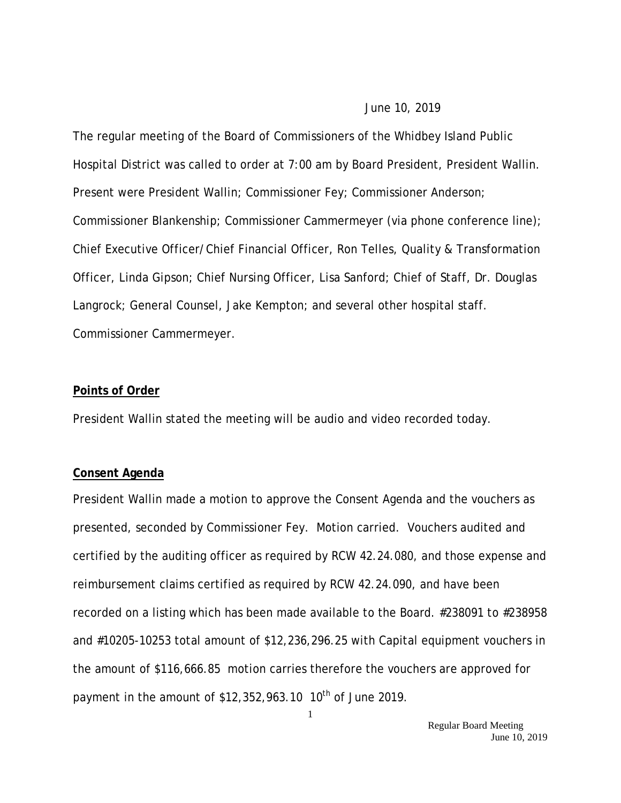#### June 10, 2019

The regular meeting of the Board of Commissioners of the Whidbey Island Public Hospital District was called to order at 7:00 am by Board President, President Wallin. Present were President Wallin; Commissioner Fey; Commissioner Anderson; Commissioner Blankenship; Commissioner Cammermeyer (via phone conference line); Chief Executive Officer/Chief Financial Officer, Ron Telles, Quality & Transformation Officer, Linda Gipson; Chief Nursing Officer, Lisa Sanford; Chief of Staff, Dr. Douglas Langrock; General Counsel, Jake Kempton; and several other hospital staff. Commissioner Cammermeyer.

#### **Points of Order**

President Wallin stated the meeting will be audio and video recorded today.

#### **Consent Agenda**

President Wallin made a motion to approve the Consent Agenda and the vouchers as presented, seconded by Commissioner Fey. Motion carried. Vouchers audited and certified by the auditing officer as required by RCW 42.24.080, and those expense and reimbursement claims certified as required by RCW 42.24.090, and have been recorded on a listing which has been made available to the Board. #238091 to #238958 and #10205-10253 total amount of \$12,236,296.25 with Capital equipment vouchers in the amount of \$116,666.85 motion carries therefore the vouchers are approved for payment in the amount of  $$12,352,963.10$  10<sup>th</sup> of June 2019.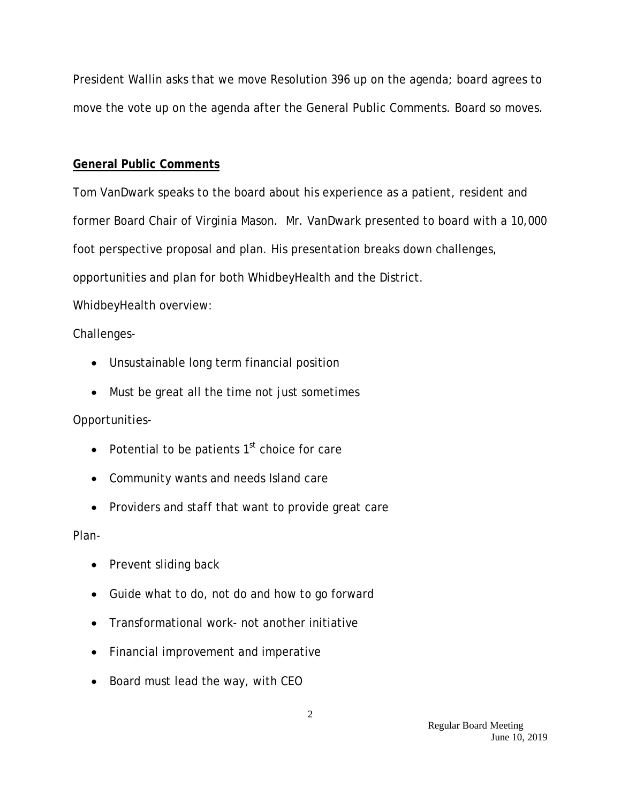President Wallin asks that we move Resolution 396 up on the agenda; board agrees to move the vote up on the agenda after the General Public Comments. Board so moves.

### **General Public Comments**

Tom VanDwark speaks to the board about his experience as a patient, resident and former Board Chair of Virginia Mason. Mr. VanDwark presented to board with a 10,000 foot perspective proposal and plan. His presentation breaks down challenges, opportunities and plan for both WhidbeyHealth and the District.

WhidbeyHealth overview:

### Challenges-

- Unsustainable long term financial position
- Must be great all the time not just sometimes

### Opportunities-

- Potential to be patients  $1<sup>st</sup>$  choice for care
- Community wants and needs Island care
- Providers and staff that want to provide great care

### Plan-

- Prevent sliding back
- Guide what to do, not do and how to go forward
- Transformational work- not another initiative
- Financial improvement and imperative
- Board must lead the way, with CEO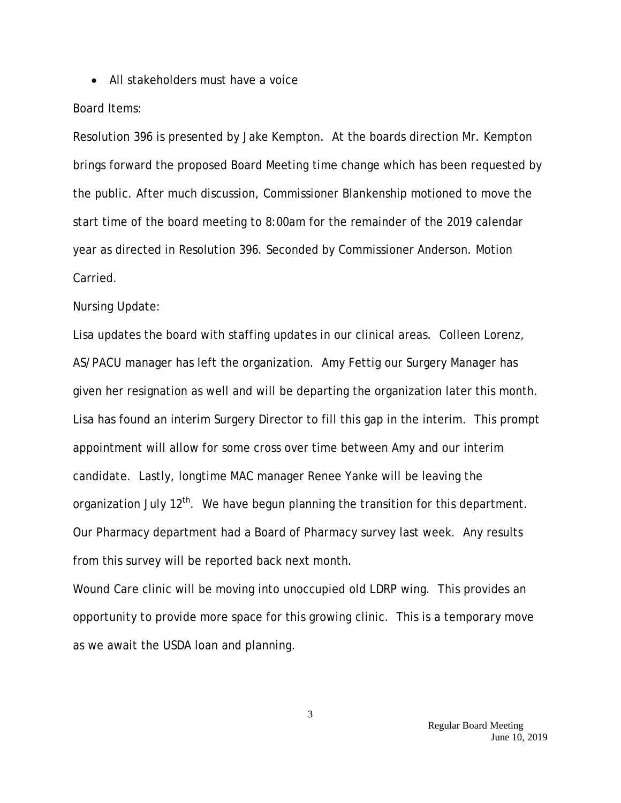• All stakeholders must have a voice

### Board Items:

Resolution 396 is presented by Jake Kempton. At the boards direction Mr. Kempton brings forward the proposed Board Meeting time change which has been requested by the public. After much discussion, Commissioner Blankenship motioned to move the start time of the board meeting to 8:00am for the remainder of the 2019 calendar year as directed in Resolution 396. Seconded by Commissioner Anderson. Motion Carried.

#### Nursing Update:

Lisa updates the board with staffing updates in our clinical areas. Colleen Lorenz, AS/PACU manager has left the organization. Amy Fettig our Surgery Manager has given her resignation as well and will be departing the organization later this month. Lisa has found an interim Surgery Director to fill this gap in the interim. This prompt appointment will allow for some cross over time between Amy and our interim candidate. Lastly, longtime MAC manager Renee Yanke will be leaving the organization July  $12<sup>th</sup>$ . We have begun planning the transition for this department. Our Pharmacy department had a Board of Pharmacy survey last week. Any results from this survey will be reported back next month.

Wound Care clinic will be moving into unoccupied old LDRP wing. This provides an opportunity to provide more space for this growing clinic. This is a temporary move as we await the USDA loan and planning.

3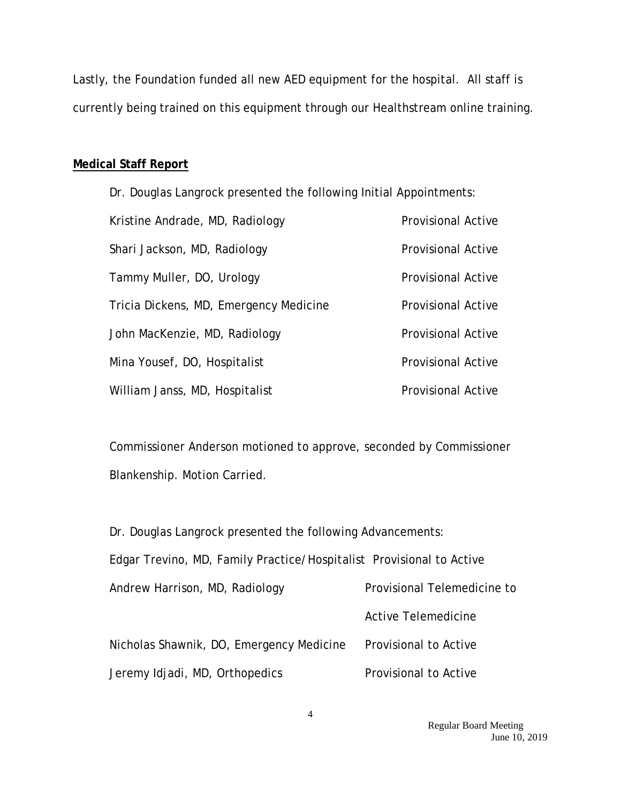Lastly, the Foundation funded all new AED equipment for the hospital. All staff is currently being trained on this equipment through our Healthstream online training.

### **Medical Staff Report**

Dr. Douglas Langrock presented the following Initial Appointments: Kristine Andrade, MD, Radiology **Provisional Active** Shari Jackson, MD, Radiology **Provisional Active** Tammy Muller, DO, Urology **Provisional Active** Tricia Dickens, MD, Emergency Medicine Provisional Active John MacKenzie, MD, Radiology **Provisional Active** Mina Yousef, DO, Hospitalist **Provisional Active** William Janss, MD, Hospitalist **Provisional Active** 

Commissioner Anderson motioned to approve, seconded by Commissioner Blankenship. Motion Carried.

| Dr. Douglas Langrock presented the following Advancements:           |                             |  |
|----------------------------------------------------------------------|-----------------------------|--|
| Edgar Trevino, MD, Family Practice/Hospitalist Provisional to Active |                             |  |
| Andrew Harrison, MD, Radiology                                       | Provisional Telemedicine to |  |
|                                                                      | Active Telemedicine         |  |
| Nicholas Shawnik, DO, Emergency Medicine                             | Provisional to Active       |  |
| Jeremy Idjadi, MD, Orthopedics                                       | Provisional to Active       |  |

 Regular Board Meeting June 10, 2019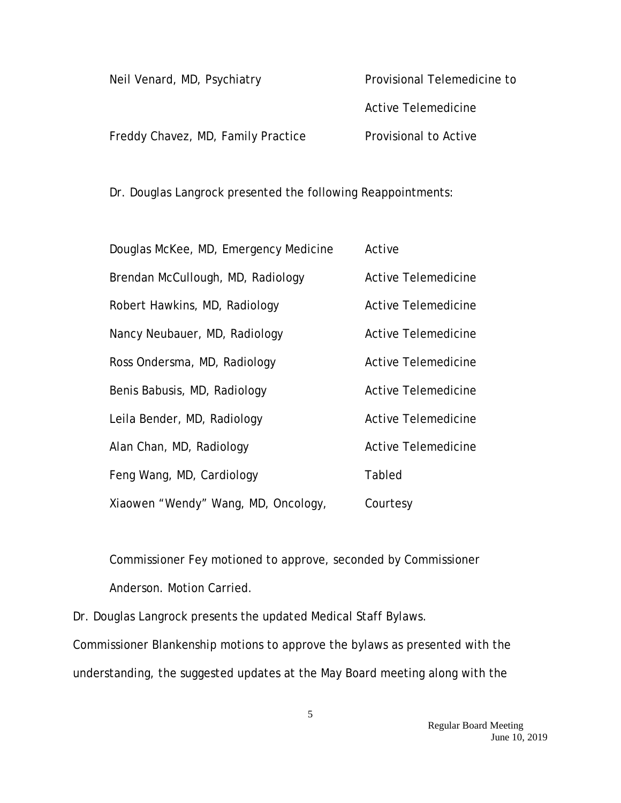| Neil Venard, MD, Psychiatry        | Provisional Telemedicine to |
|------------------------------------|-----------------------------|
|                                    | Active Telemedicine         |
| Freddy Chavez, MD, Family Practice | Provisional to Active       |

Dr. Douglas Langrock presented the following Reappointments:

| Douglas McKee, MD, Emergency Medicine | Active                     |
|---------------------------------------|----------------------------|
| Brendan McCullough, MD, Radiology     | <b>Active Telemedicine</b> |
| Robert Hawkins, MD, Radiology         | Active Telemedicine        |
| Nancy Neubauer, MD, Radiology         | <b>Active Telemedicine</b> |
| Ross Ondersma, MD, Radiology          | Active Telemedicine        |
| Benis Babusis, MD, Radiology          | <b>Active Telemedicine</b> |
| Leila Bender, MD, Radiology           | <b>Active Telemedicine</b> |
| Alan Chan, MD, Radiology              | <b>Active Telemedicine</b> |
| Feng Wang, MD, Cardiology             | Tabled                     |
| Xiaowen "Wendy" Wang, MD, Oncology,   | Courtesy                   |

Commissioner Fey motioned to approve, seconded by Commissioner Anderson. Motion Carried.

Dr. Douglas Langrock presents the updated Medical Staff Bylaws. Commissioner Blankenship motions to approve the bylaws as presented with the understanding, the suggested updates at the May Board meeting along with the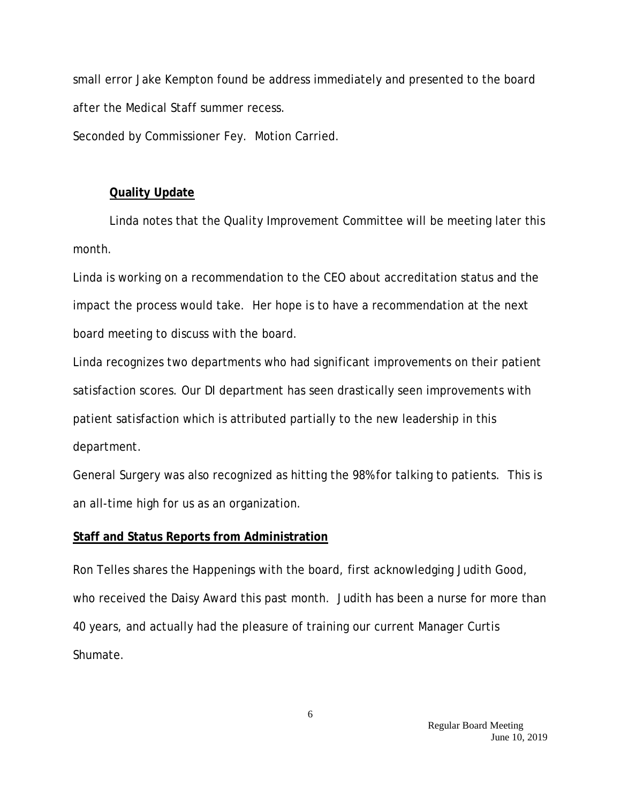small error Jake Kempton found be address immediately and presented to the board after the Medical Staff summer recess.

Seconded by Commissioner Fey. Motion Carried.

# **Quality Update**

Linda notes that the Quality Improvement Committee will be meeting later this month.

Linda is working on a recommendation to the CEO about accreditation status and the impact the process would take. Her hope is to have a recommendation at the next board meeting to discuss with the board.

Linda recognizes two departments who had significant improvements on their patient satisfaction scores. Our DI department has seen drastically seen improvements with patient satisfaction which is attributed partially to the new leadership in this department.

General Surgery was also recognized as hitting the 98% for talking to patients. This is an all-time high for us as an organization.

# **Staff and Status Reports from Administration**

Ron Telles shares the Happenings with the board, first acknowledging Judith Good, who received the Daisy Award this past month. Judith has been a nurse for more than 40 years, and actually had the pleasure of training our current Manager Curtis Shumate.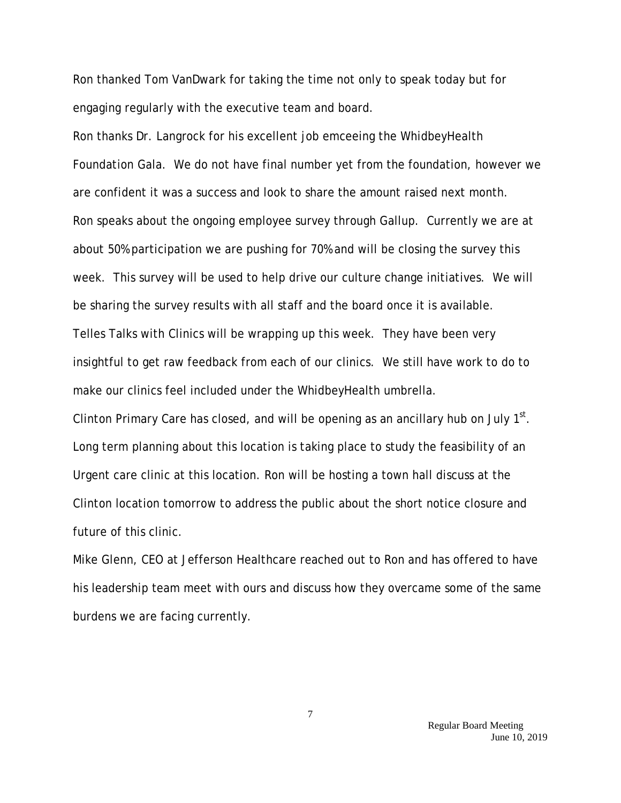Ron thanked Tom VanDwark for taking the time not only to speak today but for engaging regularly with the executive team and board.

Ron thanks Dr. Langrock for his excellent job emceeing the WhidbeyHealth Foundation Gala. We do not have final number yet from the foundation, however we are confident it was a success and look to share the amount raised next month. Ron speaks about the ongoing employee survey through Gallup. Currently we are at about 50% participation we are pushing for 70% and will be closing the survey this week. This survey will be used to help drive our culture change initiatives. We will be sharing the survey results with all staff and the board once it is available. Telles Talks with Clinics will be wrapping up this week. They have been very insightful to get raw feedback from each of our clinics. We still have work to do to make our clinics feel included under the WhidbeyHealth umbrella.

Clinton Primary Care has closed, and will be opening as an ancillary hub on July  $1<sup>st</sup>$ . Long term planning about this location is taking place to study the feasibility of an Urgent care clinic at this location. Ron will be hosting a town hall discuss at the Clinton location tomorrow to address the public about the short notice closure and future of this clinic.

Mike Glenn, CEO at Jefferson Healthcare reached out to Ron and has offered to have his leadership team meet with ours and discuss how they overcame some of the same burdens we are facing currently.

> Regular Board Meeting June 10, 2019

7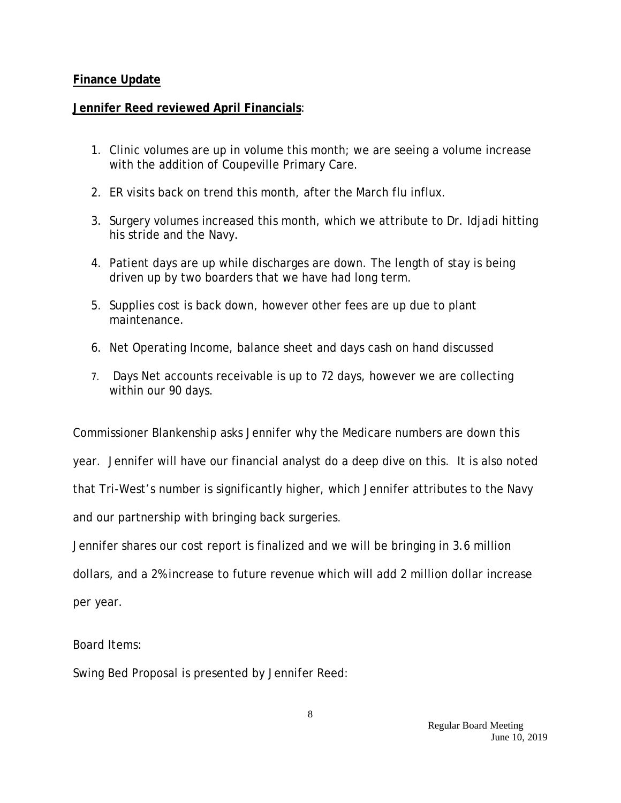## **Finance Update**

## **Jennifer Reed reviewed April Financials**:

- 1. Clinic volumes are up in volume this month; we are seeing a volume increase with the addition of Coupeville Primary Care.
- 2. ER visits back on trend this month, after the March flu influx.
- 3. Surgery volumes increased this month, which we attribute to Dr. Idjadi hitting his stride and the Navy.
- 4. Patient days are up while discharges are down. The length of stay is being driven up by two boarders that we have had long term.
- 5. Supplies cost is back down, however other fees are up due to plant maintenance.
- 6. Net Operating Income, balance sheet and days cash on hand discussed
- 7. Days Net accounts receivable is up to 72 days, however we are collecting within our 90 days.

Commissioner Blankenship asks Jennifer why the Medicare numbers are down this

year. Jennifer will have our financial analyst do a deep dive on this. It is also noted

that Tri-West's number is significantly higher, which Jennifer attributes to the Navy

and our partnership with bringing back surgeries.

Jennifer shares our cost report is finalized and we will be bringing in 3.6 million

dollars, and a 2% increase to future revenue which will add 2 million dollar increase

per year.

Board Items:

Swing Bed Proposal is presented by Jennifer Reed: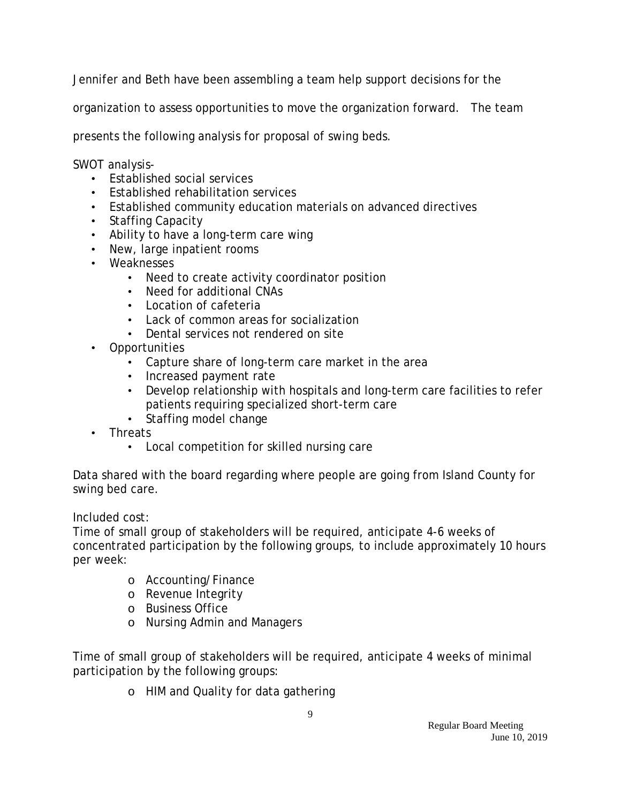Jennifer and Beth have been assembling a team help support decisions for the

organization to assess opportunities to move the organization forward. The team

presents the following analysis for proposal of swing beds.

SWOT analysis-

- Established social services
- Established rehabilitation services
- Established community education materials on advanced directives
- Staffing Capacity
- Ability to have a long-term care wing
- New, large inpatient rooms
- Weaknesses
	- Need to create activity coordinator position
	- Need for additional CNAs
	- Location of cafeteria
	- Lack of common areas for socialization
	- Dental services not rendered on site
- Opportunities
	- Capture share of long-term care market in the area
	- Increased payment rate
	- Develop relationship with hospitals and long-term care facilities to refer patients requiring specialized short-term care
	- Staffing model change
- Threats
	- Local competition for skilled nursing care

Data shared with the board regarding where people are going from Island County for swing bed care.

Included cost:

Time of small group of stakeholders will be required, anticipate 4-6 weeks of concentrated participation by the following groups, to include approximately 10 hours per week:

- o Accounting/Finance
- o Revenue Integrity
- o Business Office
- o Nursing Admin and Managers

Time of small group of stakeholders will be required, anticipate 4 weeks of minimal participation by the following groups:

o HIM and Quality for data gathering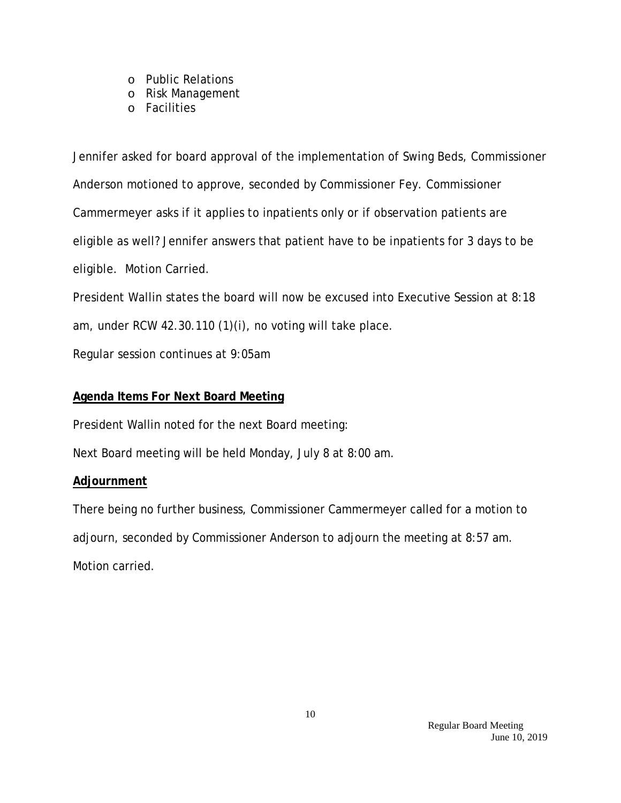- o Public Relations
- o Risk Management
- o Facilities

Jennifer asked for board approval of the implementation of Swing Beds, Commissioner Anderson motioned to approve, seconded by Commissioner Fey. Commissioner Cammermeyer asks if it applies to inpatients only or if observation patients are eligible as well? Jennifer answers that patient have to be inpatients for 3 days to be eligible. Motion Carried.

President Wallin states the board will now be excused into Executive Session at 8:18 am, under RCW 42.30.110 (1)(i), no voting will take place.

Regular session continues at 9:05am

## **Agenda Items For Next Board Meeting**

President Wallin noted for the next Board meeting:

Next Board meeting will be held Monday, July 8 at 8:00 am.

### **Adjournment**

There being no further business, Commissioner Cammermeyer called for a motion to adjourn, seconded by Commissioner Anderson to adjourn the meeting at 8:57 am. Motion carried.